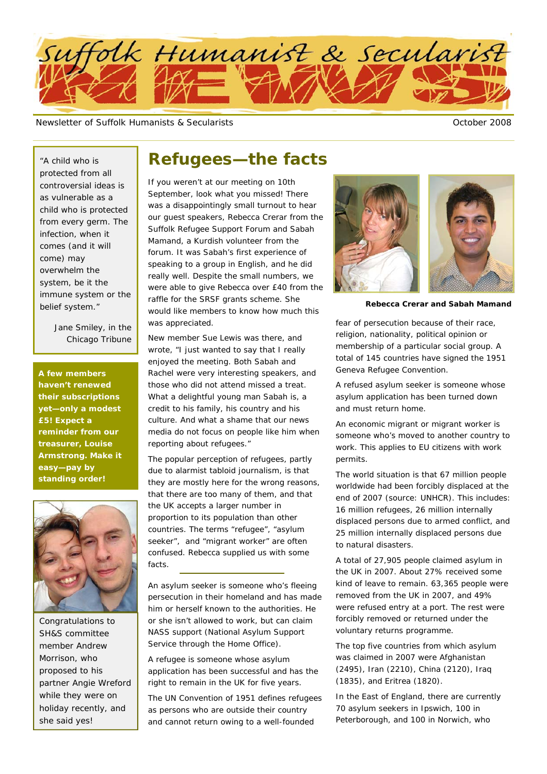

Newsletter of Suffolk Humanists & Secularists **Access Community** Corporation of Suffolk Humanists & Secularists Community Community Community Community Community Community Community Community Community Community Community

"A child who is protected from all controversial ideas is as vulnerable as a child who is protected from every germ. The infection, when it comes (and it will come) may overwhelm the system, be it the immune system or the belief system."

> *Jane Smiley, in the Chicago Tribune*

**A few members haven't renewed their subscriptions yet—only a modest £5! Expect a reminder from our treasurer, Louise Armstrong. Make it easy—pay by standing order!** 



Congratulations to SH&S committee member Andrew Morrison, who proposed to his partner Angie Wreford while they were on holiday recently, and she said yes!

### **Refugees—the facts**

If you weren't at our meeting on 10th September, look what you missed! There was a disappointingly small turnout to hear our guest speakers, Rebecca Crerar from the Suffolk Refugee Support Forum and Sabah Mamand, a Kurdish volunteer from the forum. It was Sabah's first experience of speaking to a group in English, and he did really well. Despite the small numbers, we were able to give Rebecca over £40 from the raffle for the SRSF grants scheme. She would like members to know how much this was appreciated.

New member Sue Lewis was there, and wrote, "I just wanted to say that I really enjoyed the meeting. Both Sabah and Rachel were very interesting speakers, and those who did not attend missed a treat. What a delightful young man Sabah is, a credit to his family, his country and his culture. And what a shame that our news media do not focus on people like him when reporting about refugees."

The popular perception of refugees, partly due to alarmist tabloid journalism, is that they are mostly here for the wrong reasons, that there are too many of them, and that the UK accepts a larger number in proportion to its population than other countries. The terms "refugee", "asylum seeker", and "migrant worker" are often confused. Rebecca supplied us with some facts.

An asylum seeker is someone who's fleeing persecution in their homeland and has made him or herself known to the authorities. He or she isn't allowed to work, but can claim NASS support (National Asylum Support Service through the Home Office).

A refugee is someone whose asylum application has been successful and has the right to remain in the UK for five years.

The UN Convention of 1951 defines refugees as persons who are outside their country and cannot return owing to a well-founded



**Rebecca Crerar and Sabah Mamand** 

fear of persecution because of their race, religion, nationality, political opinion or membership of a particular social group. A total of 145 countries have signed the 1951 Geneva Refugee Convention.

A refused asylum seeker is someone whose asylum application has been turned down and must return home.

An economic migrant or migrant worker is someone who's moved to another country to work. This applies to EU citizens with work permits.

The world situation is that 67 million people worldwide had been forcibly displaced at the end of 2007 (source: UNHCR). This includes: 16 million refugees, 26 million internally displaced persons due to armed conflict, and 25 million internally displaced persons due to natural disasters.

A total of 27,905 people claimed asylum in the UK in 2007. About 27% received some kind of leave to remain. 63,365 people were removed from the UK in 2007, and 49% were refused entry at a port. The rest were forcibly removed or returned under the voluntary returns programme.

The top five countries from which asylum was claimed in 2007 were Afghanistan (2495), Iran (2210), China (2120), Iraq (1835), and Eritrea (1820).

In the East of England, there are currently 70 asylum seekers in Ipswich, 100 in Peterborough, and 100 in Norwich, who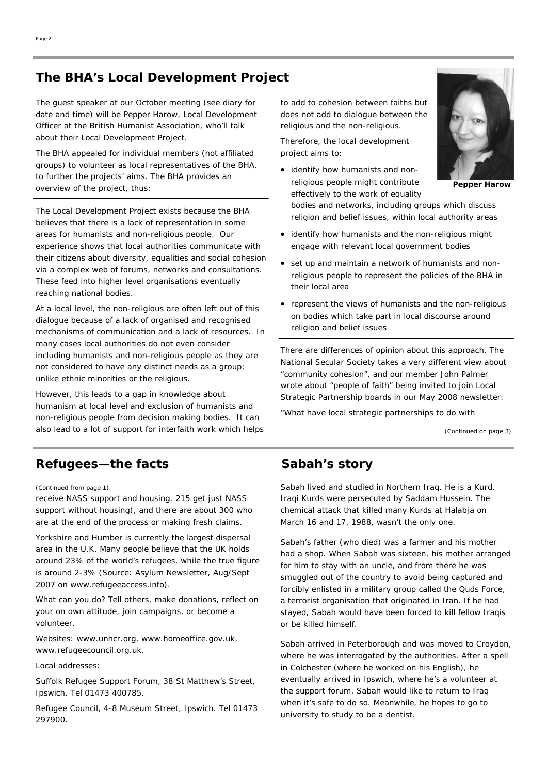### **The BHA's Local Development Project**

The guest speaker at our October meeting (see diary for date and time) will be Pepper Harow, Local Development Officer at the British Humanist Association, who'll talk about their Local Development Project.

The BHA appealed for individual members (not affiliated groups) to volunteer as local representatives of the BHA, to further the projects' aims. The BHA provides an overview of the project, thus:

The Local Development Project exists because the BHA believes that there is a lack of representation in some areas for humanists and non-religious people. Our experience shows that local authorities communicate with their citizens about diversity, equalities and social cohesion via a complex web of forums, networks and consultations. These feed into higher level organisations eventually reaching national bodies.

At a local level, the non-religious are often left out of this dialogue because of a lack of organised and recognised mechanisms of communication and a lack of resources. In many cases local authorities do not even consider including humanists and non-religious people as they are not considered to have any distinct needs as a group; unlike ethnic minorities or the religious.

However, this leads to a gap in knowledge about humanism at local level and exclusion of humanists and non-religious people from decision making bodies. It can also lead to a lot of support for interfaith work which helps

### **Refugees—the facts**

#### *(Continued from page 1)*

receive NASS support and housing. 215 get just NASS support without housing), and there are about 300 who are at the end of the process or making fresh claims.

Yorkshire and Humber is currently the largest dispersal area in the U.K. Many people believe that the UK holds around 23% of the world's refugees, while the true figure is around 2-3% (Source: Asylum Newsletter, Aug/Sept 2007 on www.refugeeaccess.info).

What can you do? Tell others, make donations, reflect on your on own attitude, join campaigns, or become a volunteer.

Websites: www.unhcr.org, www.homeoffice.gov.uk, www.refugeecouncil.org.uk.

Local addresses:

Suffolk Refugee Support Forum, 38 St Matthew's Street, Ipswich. Tel 01473 400785.

Refugee Council, 4-8 Museum Street, Ipswich. Tel 01473 297900.

to add to cohesion between faiths but does not add to dialogue between the religious and the non-religious.

Therefore, the local development project aims to:

• identify how humanists and nonreligious people might contribute effectively to the work of equality



**Pepper Harow** 

bodies and networks, including groups which discuss religion and belief issues, within local authority areas

- identify how humanists and the non-religious might engage with relevant local government bodies
- set up and maintain a network of humanists and nonreligious people to represent the policies of the BHA in their local area
- represent the views of humanists and the non-religious on bodies which take part in local discourse around religion and belief issues

There are differences of opinion about this approach. The National Secular Society takes a very different view about "community cohesion", and our member John Palmer wrote about "people of faith" being invited to join Local Strategic Partnership boards in our May 2008 newsletter:

"What have local strategic partnerships to do with

*(Continued on page 3)* 

### **Sabah's story**

Sabah lived and studied in Northern Iraq. He is a Kurd. Iraqi Kurds were persecuted by Saddam Hussein. The chemical attack that killed many Kurds at Halabja on March 16 and 17, 1988, wasn't the only one.

Sabah's father (who died) was a farmer and his mother had a shop. When Sabah was sixteen, his mother arranged for him to stay with an uncle, and from there he was smuggled out of the country to avoid being captured and forcibly enlisted in a military group called the Quds Force, a terrorist organisation that originated in Iran. If he had stayed, Sabah would have been forced to kill fellow Iraqis or be killed himself.

Sabah arrived in Peterborough and was moved to Croydon, where he was interrogated by the authorities. After a spell in Colchester (where he worked on his English), he eventually arrived in Ipswich, where he's a volunteer at the support forum. Sabah would like to return to Iraq when it's safe to do so. Meanwhile, he hopes to go to university to study to be a dentist.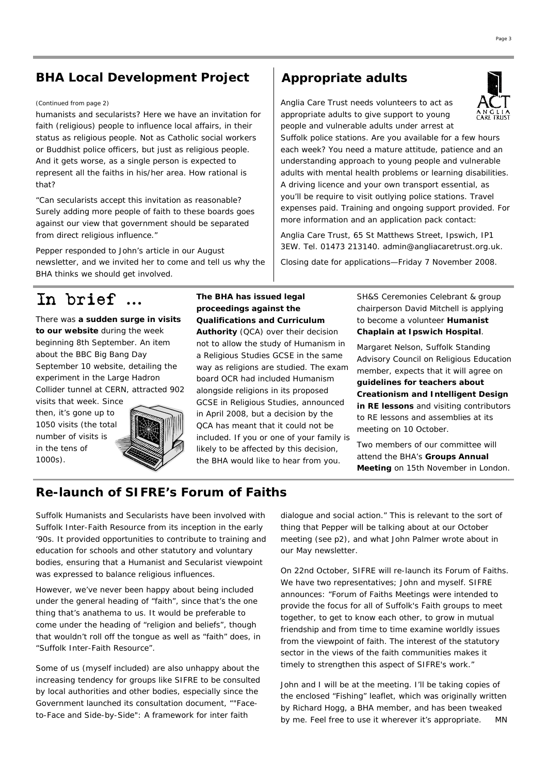### **BHA Local Development Project**

#### *(Continued from page 2)* Anglia Care Trust needs volunteers to act as

humanists and secularists? Here we have an invitation for faith (religious) people to influence local affairs, in their status as religious people. Not as Catholic social workers or Buddhist police officers, but just as religious people. And it gets worse, as a single person is expected to represent all the faiths in his/her area. How rational is that?

"Can secularists accept this invitation as reasonable? Surely adding more people of faith to these boards goes against our view that government should be separated from direct religious influence."

Pepper responded to John's article in our August newsletter, and we invited her to come and tell us why the BHA thinks we should get involved.

## In brief **…**

There was **a sudden surge in visits to our website** during the week beginning 8th September. An item about the BBC Big Bang Day September 10 website, detailing the experiment in the Large Hadron Collider tunnel at CERN, attracted 902

visits that week. Since then, it's gone up to 1050 visits (the total number of visits is in the tens of 1000s).



### **The BHA has issued legal proceedings against the Qualifications and Curriculum**

**Authority** (QCA) over their decision not to allow the study of Humanism in a Religious Studies GCSE in the same way as religions are studied. The exam board OCR had included Humanism alongside religions in its proposed GCSE in Religious Studies, announced in April 2008, but a decision by the QCA has meant that it could not be included. If you or one of your family is likely to be affected by this decision, the BHA would like to hear from you.

SH&S Ceremonies Celebrant & group chairperson David Mitchell is applying to become a volunteer **Humanist Chaplain at Ipswich Hospital**.

appropriate adults to give support to young people and vulnerable adults under arrest at

**Appropriate adults** 

Suffolk police stations. Are you available for a few hours each week? You need a mature attitude, patience and an understanding approach to young people and vulnerable adults with mental health problems or learning disabilities. A driving licence and your own transport essential, as you'll be require to visit outlying police stations. Travel expenses paid. Training and ongoing support provided. For

more information and an application pack contact: Anglia Care Trust, 65 St Matthews Street, Ipswich, IP1 3EW. Tel. 01473 213140. admin@angliacaretrust.org.uk. Closing date for applications—Friday 7 November 2008.

> Margaret Nelson, Suffolk Standing Advisory Council on Religious Education member, expects that it will agree on **guidelines for teachers about Creationism and Intelligent Design in RE lessons** and visiting contributors to RE lessons and assemblies at its meeting on 10 October.

Two members of our committee will attend the BHA's **Groups Annual Meeting** on 15th November in London.

### **Re-launch of SIFRE's Forum of Faiths**

Suffolk Humanists and Secularists have been involved with Suffolk Inter-Faith Resource from its inception in the early '90s. It provided opportunities to contribute to training and education for schools and other statutory and voluntary bodies, ensuring that a Humanist and Secularist viewpoint was expressed to balance religious influences.

However, we've never been happy about being included under the general heading of "faith", since that's the one thing that's anathema to us. It would be preferable to come under the heading of "religion and beliefs", though that wouldn't roll off the tongue as well as "faith" does, in "Suffolk Inter-Faith Resource".

Some of us (myself included) are also unhappy about the increasing tendency for groups like SIFRE to be consulted by local authorities and other bodies, especially since the Government launched its consultation document, ""Faceto-Face and Side-by-Side": A framework for inter faith

dialogue and social action." This is relevant to the sort of thing that Pepper will be talking about at our October meeting (see p2), and what John Palmer wrote about in our May newsletter.

On 22nd October, SIFRE will re-launch its Forum of Faiths. We have two representatives; John and myself. SIFRE announces: "Forum of Faiths Meetings were intended to provide the focus for all of Suffolk's Faith groups to meet together, to get to know each other, to grow in mutual friendship and from time to time examine worldly issues from the viewpoint of faith. The interest of the statutory sector in the views of the faith communities makes it timely to strengthen this aspect of SIFRE's work."

John and I will be at the meeting. I'll be taking copies of the enclosed "Fishing" leaflet, which was originally written by Richard Hogg, a BHA member, and has been tweaked by me. Feel free to use it wherever it's appropriate. *MN*